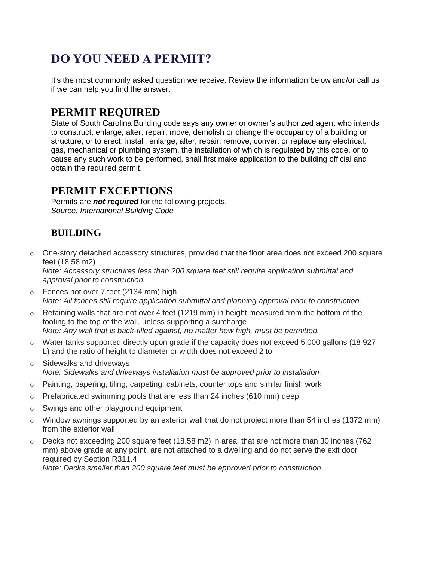# **DO YOU NEED A PERMIT?**

It's the most commonly asked question we receive. Review the information below and/or call us if we can help you find the answer.

## **PERMIT REQUIRED**

State of South Carolina Building code says any owner or owner's authorized agent who intends to construct, enlarge, alter, repair, move, demolish or change the occupancy of a building or structure, or to erect, install, enlarge, alter, repair, remove, convert or replace any electrical, gas, mechanical or plumbing system, the installation of which is regulated by this code, or to cause any such work to be performed, shall first make application to the building official and obtain the required permit.

#### **PERMIT EXCEPTIONS**

Permits are *not required* for the following projects. *Source: International Building Code*

### **BUILDING**

o One-story detached accessory structures, provided that the floor area does not exceed 200 square feet (18.58 m2)

*Note: Accessory structures less than 200 square feet still require application submittal and approval prior to construction.*

- o Fences not over 7 feet (2134 mm) high *Note: All fences still require application submittal and planning approval prior to construction.*
- $\circ$  Retaining walls that are not over 4 feet (1219 mm) in height measured from the bottom of the footing to the top of the wall, unless supporting a surcharge *Note: Any wall that is back-filled against, no matter how high, must be permitted.*
- o Water tanks supported directly upon grade if the capacity does not exceed 5,000 gallons (18 927 L) and the ratio of height to diameter or width does not exceed 2 to
- o Sidewalks and driveways *Note: Sidewalks and driveways installation must be approved prior to installation.*
- $\circ$  Painting, papering, tiling, carpeting, cabinets, counter tops and similar finish work
- $\circ$  Prefabricated swimming pools that are less than 24 inches (610 mm) deep
- o Swings and other playground equipment
- $\circ$  Window awnings supported by an exterior wall that do not project more than 54 inches (1372 mm) from the exterior wall
- $\circ$  Decks not exceeding 200 square feet (18.58 m2) in area, that are not more than 30 inches (762) mm) above grade at any point, are not attached to a dwelling and do not serve the exit door required by Section R311.4.

*Note: Decks smaller than 200 square feet must be approved prior to construction.*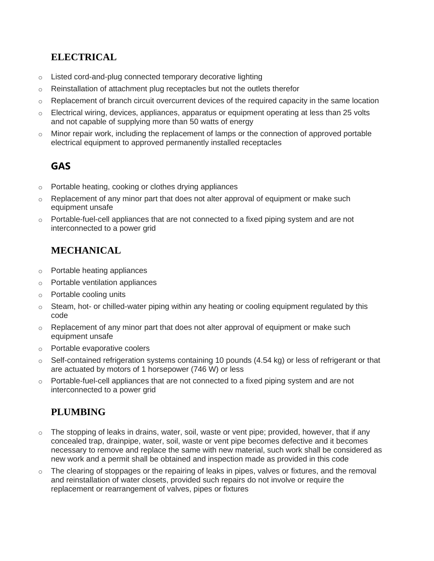#### **ELECTRICAL**

- o Listed cord-and-plug connected temporary decorative lighting
- $\circ$  Reinstallation of attachment plug receptacles but not the outlets therefor
- $\circ$  Replacement of branch circuit overcurrent devices of the required capacity in the same location
- o Electrical wiring, devices, appliances, apparatus or equipment operating at less than 25 volts and not capable of supplying more than 50 watts of energy
- o Minor repair work, including the replacement of lamps or the connection of approved portable electrical equipment to approved permanently installed receptacles

#### **GAS**

- o Portable heating, cooking or clothes drying appliances
- $\circ$  Replacement of any minor part that does not alter approval of equipment or make such equipment unsafe
- $\circ$  Portable-fuel-cell appliances that are not connected to a fixed piping system and are not interconnected to a power grid

#### **MECHANICAL**

- o Portable heating appliances
- o Portable ventilation appliances
- o Portable cooling units
- $\circ$  Steam, hot- or chilled-water piping within any heating or cooling equipment regulated by this code
- $\circ$  Replacement of any minor part that does not alter approval of equipment or make such equipment unsafe
- o Portable evaporative coolers
- $\circ$  Self-contained refrigeration systems containing 10 pounds (4.54 kg) or less of refrigerant or that are actuated by motors of 1 horsepower (746 W) or less
- $\circ$  Portable-fuel-cell appliances that are not connected to a fixed piping system and are not interconnected to a power grid

#### **PLUMBING**

- $\circ$  The stopping of leaks in drains, water, soil, waste or vent pipe; provided, however, that if any concealed trap, drainpipe, water, soil, waste or vent pipe becomes defective and it becomes necessary to remove and replace the same with new material, such work shall be considered as new work and a permit shall be obtained and inspection made as provided in this code
- $\circ$  The clearing of stoppages or the repairing of leaks in pipes, valves or fixtures, and the removal and reinstallation of water closets, provided such repairs do not involve or require the replacement or rearrangement of valves, pipes or fixtures